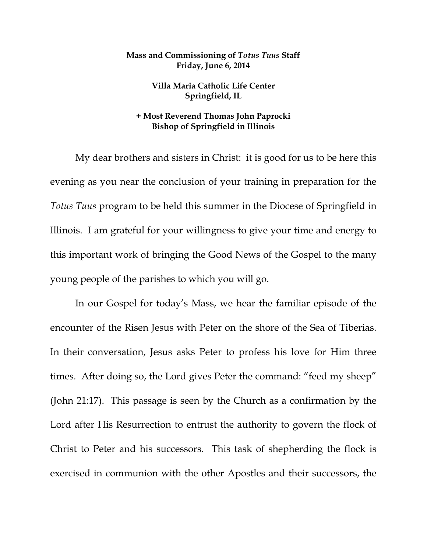## **Mass and Commissioning of** *Totus Tuus* **Staff Friday, June 6, 2014**

**Villa Maria Catholic Life Center Springfield, IL** 

## **+ Most Reverend Thomas John Paprocki Bishop of Springfield in Illinois**

 My dear brothers and sisters in Christ: it is good for us to be here this evening as you near the conclusion of your training in preparation for the *Totus Tuus* program to be held this summer in the Diocese of Springfield in Illinois. I am grateful for your willingness to give your time and energy to this important work of bringing the Good News of the Gospel to the many young people of the parishes to which you will go.

 In our Gospel for today's Mass, we hear the familiar episode of the encounter of the Risen Jesus with Peter on the shore of the Sea of Tiberias. In their conversation, Jesus asks Peter to profess his love for Him three times. After doing so, the Lord gives Peter the command: "feed my sheep" (John 21:17). This passage is seen by the Church as a confirmation by the Lord after His Resurrection to entrust the authority to govern the flock of Christ to Peter and his successors. This task of shepherding the flock is exercised in communion with the other Apostles and their successors, the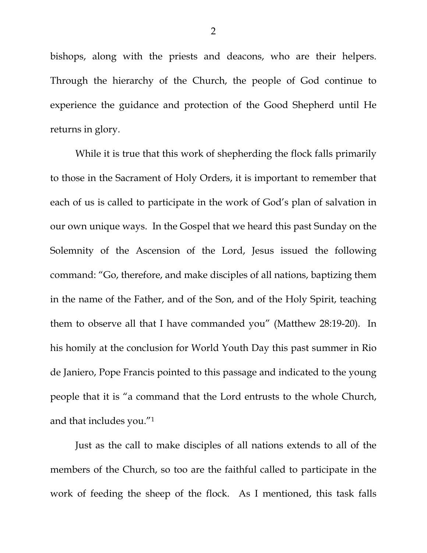bishops, along with the priests and deacons, who are their helpers. Through the hierarchy of the Church, the people of God continue to experience the guidance and protection of the Good Shepherd until He returns in glory.

 While it is true that this work of shepherding the flock falls primarily to those in the Sacrament of Holy Orders, it is important to remember that each of us is called to participate in the work of God's plan of salvation in our own unique ways. In the Gospel that we heard this past Sunday on the Solemnity of the Ascension of the Lord, Jesus issued the following command: "Go, therefore, and make disciples of all nations, baptizing them in the name of the Father, and of the Son, and of the Holy Spirit, teaching them to observe all that I have commanded you" (Matthew 28:19-20). In his homily at the conclusion for World Youth Day this past summer in Rio de Janiero, Pope Francis pointed to this passage and indicated to the young people that it is "a command that the Lord entrusts to the whole Church, and that includes you."1

 Just as the call to make disciples of all nations extends to all of the members of the Church, so too are the faithful called to participate in the work of feeding the sheep of the flock. As I mentioned, this task falls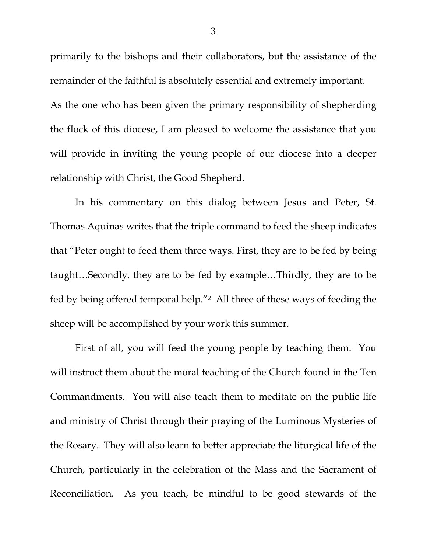primarily to the bishops and their collaborators, but the assistance of the remainder of the faithful is absolutely essential and extremely important. As the one who has been given the primary responsibility of shepherding the flock of this diocese, I am pleased to welcome the assistance that you will provide in inviting the young people of our diocese into a deeper relationship with Christ, the Good Shepherd.

 In his commentary on this dialog between Jesus and Peter, St. Thomas Aquinas writes that the triple command to feed the sheep indicates that "Peter ought to feed them three ways. First, they are to be fed by being taught…Secondly, they are to be fed by example…Thirdly, they are to be fed by being offered temporal help."2 All three of these ways of feeding the sheep will be accomplished by your work this summer.

 First of all, you will feed the young people by teaching them. You will instruct them about the moral teaching of the Church found in the Ten Commandments. You will also teach them to meditate on the public life and ministry of Christ through their praying of the Luminous Mysteries of the Rosary. They will also learn to better appreciate the liturgical life of the Church, particularly in the celebration of the Mass and the Sacrament of Reconciliation. As you teach, be mindful to be good stewards of the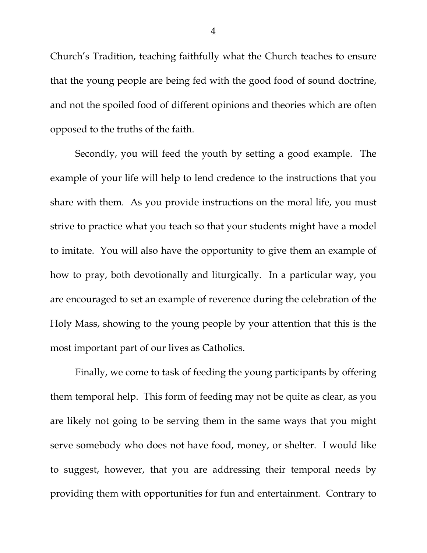Church's Tradition, teaching faithfully what the Church teaches to ensure that the young people are being fed with the good food of sound doctrine, and not the spoiled food of different opinions and theories which are often opposed to the truths of the faith.

 Secondly, you will feed the youth by setting a good example. The example of your life will help to lend credence to the instructions that you share with them. As you provide instructions on the moral life, you must strive to practice what you teach so that your students might have a model to imitate. You will also have the opportunity to give them an example of how to pray, both devotionally and liturgically. In a particular way, you are encouraged to set an example of reverence during the celebration of the Holy Mass, showing to the young people by your attention that this is the most important part of our lives as Catholics.

 Finally, we come to task of feeding the young participants by offering them temporal help. This form of feeding may not be quite as clear, as you are likely not going to be serving them in the same ways that you might serve somebody who does not have food, money, or shelter. I would like to suggest, however, that you are addressing their temporal needs by providing them with opportunities for fun and entertainment. Contrary to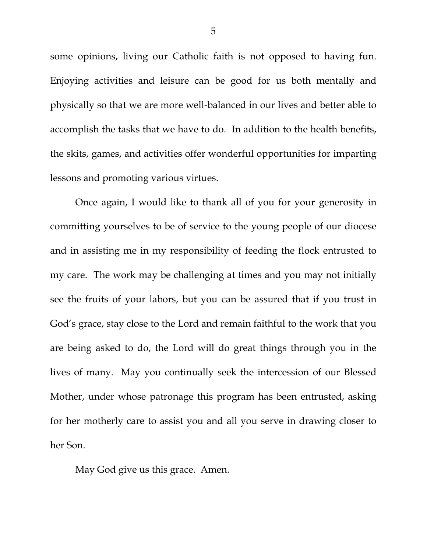some opinions, living our Catholic faith is not opposed to having fun. Enjoying activities and leisure can be good for us both mentally and physically so that we are more well-balanced in our lives and better able to accomplish the tasks that we have to do. In addition to the health benefits, the skits, games, and activities offer wonderful opportunities for imparting lessons and promoting various virtues.

 Once again, I would like to thank all of you for your generosity in committing yourselves to be of service to the young people of our diocese and in assisting me in my responsibility of feeding the flock entrusted to my care. The work may be challenging at times and you may not initially see the fruits of your labors, but you can be assured that if you trust in God's grace, stay close to the Lord and remain faithful to the work that you are being asked to do, the Lord will do great things through you in the lives of many. May you continually seek the intercession of our Blessed Mother, under whose patronage this program has been entrusted, asking for her motherly care to assist you and all you serve in drawing closer to her Son.

May God give us this grace. Amen.